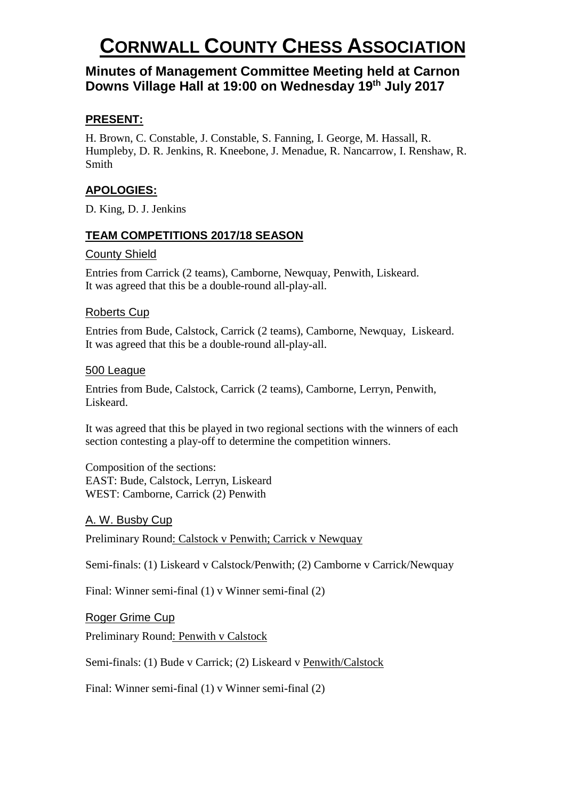# **CORNWALL COUNTY CHESS ASSOCIATION**

# **Minutes of Management Committee Meeting held at Carnon Downs Village Hall at 19:00 on Wednesday 19th July 2017**

### **PRESENT:**

H. Brown, C. Constable, J. Constable, S. Fanning, I. George, M. Hassall, R. Humpleby, D. R. Jenkins, R. Kneebone, J. Menadue, R. Nancarrow, I. Renshaw, R. Smith

## **APOLOGIES:**

D. King, D. J. Jenkins

### **TEAM COMPETITIONS 2017/18 SEASON**

#### County Shield

Entries from Carrick (2 teams), Camborne, Newquay, Penwith, Liskeard. It was agreed that this be a double-round all-play-all.

#### Roberts Cup

Entries from Bude, Calstock, Carrick (2 teams), Camborne, Newquay, Liskeard. It was agreed that this be a double-round all-play-all.

#### 500 League

Entries from Bude, Calstock, Carrick (2 teams), Camborne, Lerryn, Penwith, Liskeard.

It was agreed that this be played in two regional sections with the winners of each section contesting a play-off to determine the competition winners.

Composition of the sections: EAST: Bude, Calstock, Lerryn, Liskeard WEST: Camborne, Carrick (2) Penwith

### A. W. Busby Cup

Preliminary Round: Calstock v Penwith; Carrick v Newquay

Semi-finals: (1) Liskeard v Calstock/Penwith; (2) Camborne v Carrick/Newquay

Final: Winner semi-final (1) v Winner semi-final (2)

#### Roger Grime Cup

Preliminary Round: Penwith v Calstock

Semi-finals: (1) Bude v Carrick; (2) Liskeard v Penwith/Calstock

Final: Winner semi-final (1) v Winner semi-final (2)